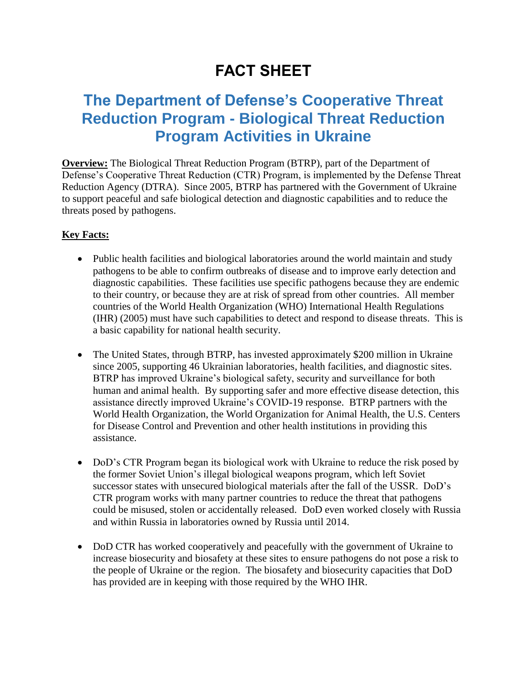## **FACT SHEET**

## **The Department of Defense's Cooperative Threat Reduction Program - Biological Threat Reduction Program Activities in Ukraine**

**Overview:** The Biological Threat Reduction Program (BTRP), part of the Department of Defense's Cooperative Threat Reduction (CTR) Program, is implemented by the Defense Threat Reduction Agency (DTRA). Since 2005, BTRP has partnered with the Government of Ukraine to support peaceful and safe biological detection and diagnostic capabilities and to reduce the threats posed by pathogens.

## **Key Facts:**

- Public health facilities and biological laboratories around the world maintain and study pathogens to be able to confirm outbreaks of disease and to improve early detection and diagnostic capabilities. These facilities use specific pathogens because they are endemic to their country, or because they are at risk of spread from other countries. All member countries of the World Health Organization (WHO) International Health Regulations (IHR) (2005) must have such capabilities to detect and respond to disease threats. This is a basic capability for national health security.
- The United States, through BTRP, has invested approximately \$200 million in Ukraine since 2005, supporting 46 Ukrainian laboratories, health facilities, and diagnostic sites. BTRP has improved Ukraine's biological safety, security and surveillance for both human and animal health. By supporting safer and more effective disease detection, this assistance directly improved Ukraine's COVID-19 response. BTRP partners with the World Health Organization, the World Organization for Animal Health, the U.S. Centers for Disease Control and Prevention and other health institutions in providing this assistance.
- DoD's CTR Program began its biological work with Ukraine to reduce the risk posed by the former Soviet Union's illegal biological weapons program, which left Soviet successor states with unsecured biological materials after the fall of the USSR. DoD's CTR program works with many partner countries to reduce the threat that pathogens could be misused, stolen or accidentally released. DoD even worked closely with Russia and within Russia in laboratories owned by Russia until 2014.
- DoD CTR has worked cooperatively and peacefully with the government of Ukraine to increase biosecurity and biosafety at these sites to ensure pathogens do not pose a risk to the people of Ukraine or the region. The biosafety and biosecurity capacities that DoD has provided are in keeping with those required by the WHO IHR.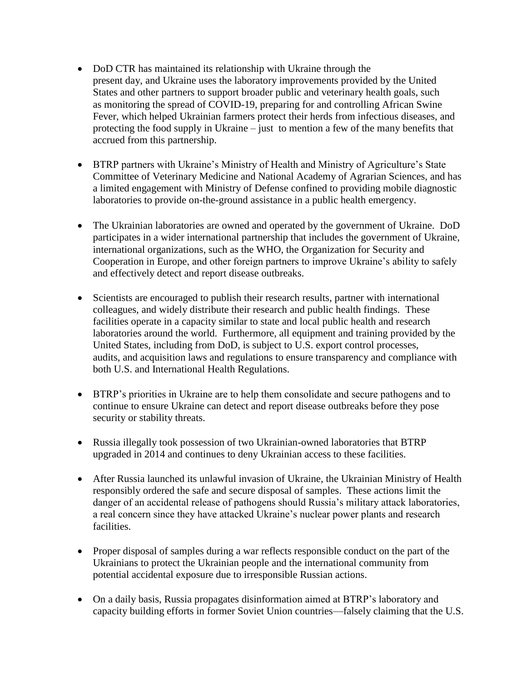- DoD CTR has maintained its relationship with Ukraine through the present day, and Ukraine uses the laboratory improvements provided by the United States and other partners to support broader public and veterinary health goals, such as monitoring the spread of COVID-19, preparing for and controlling African Swine Fever, which helped Ukrainian farmers protect their herds from infectious diseases, and protecting the food supply in Ukraine – just to mention a few of the many benefits that accrued from this partnership.
- BTRP partners with Ukraine's Ministry of Health and Ministry of Agriculture's State Committee of Veterinary Medicine and National Academy of Agrarian Sciences, and has a limited engagement with Ministry of Defense confined to providing mobile diagnostic laboratories to provide on-the-ground assistance in a public health emergency.
- The Ukrainian laboratories are owned and operated by the government of Ukraine. DoD participates in a wider international partnership that includes the government of Ukraine, international organizations, such as the WHO, the Organization for Security and Cooperation in Europe, and other foreign partners to improve Ukraine's ability to safely and effectively detect and report disease outbreaks.
- Scientists are encouraged to publish their research results, partner with international colleagues, and widely distribute their research and public health findings. These facilities operate in a capacity similar to state and local public health and research laboratories around the world. Furthermore, all equipment and training provided by the United States, including from DoD, is subject to U.S. export control processes, audits, and acquisition laws and regulations to ensure transparency and compliance with both U.S. and International Health Regulations.
- BTRP's priorities in Ukraine are to help them consolidate and secure pathogens and to continue to ensure Ukraine can detect and report disease outbreaks before they pose security or stability threats.
- Russia illegally took possession of two Ukrainian-owned laboratories that BTRP upgraded in 2014 and continues to deny Ukrainian access to these facilities.
- After Russia launched its unlawful invasion of Ukraine, the Ukrainian Ministry of Health responsibly ordered the safe and secure disposal of samples. These actions limit the danger of an accidental release of pathogens should Russia's military attack laboratories, a real concern since they have attacked Ukraine's nuclear power plants and research facilities.
- Proper disposal of samples during a war reflects responsible conduct on the part of the Ukrainians to protect the Ukrainian people and the international community from potential accidental exposure due to irresponsible Russian actions.
- On a daily basis, Russia propagates disinformation aimed at BTRP's laboratory and capacity building efforts in former Soviet Union countries—falsely claiming that the U.S.